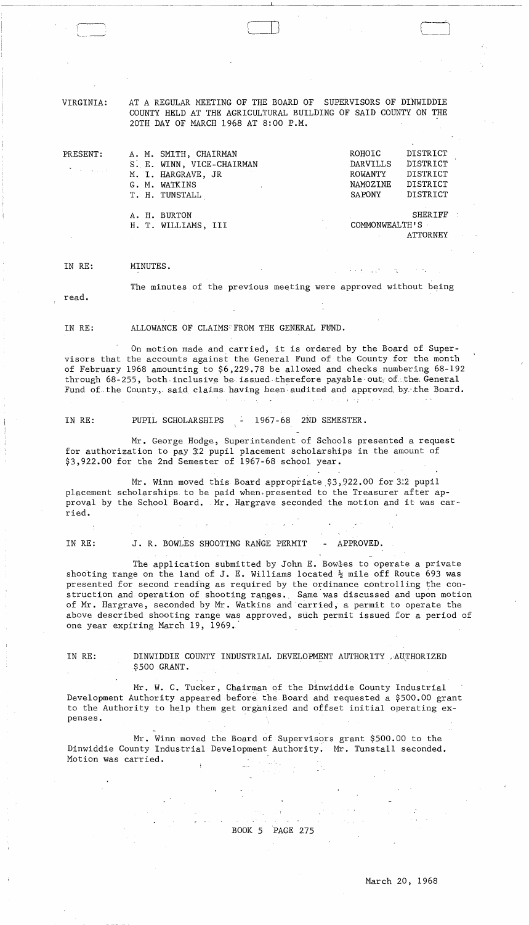VIRGINIA: AT A REGULAR MEETING OF THE BOARD OF SUPERVISORS OF DINWIDDIE COUNTY HELD AT THE AGRICULTURAL BUILDING OF SAID COUNTY ON THE 20TH DAY OF MARCH 1968 AT 8:00 P.M.

 $\Box$ 

| PRESENT:                                                                                 |                | A. M. SMITH, CHAIRMAN     |  | ROHOIC         | DISTRICT        |
|------------------------------------------------------------------------------------------|----------------|---------------------------|--|----------------|-----------------|
| $\mathcal{A}^{\text{max}}$ and $\mathcal{A}^{\text{max}}$ and $\mathcal{A}^{\text{max}}$ |                | S. E. WINN, VICE-CHAIRMAN |  | DARVILLS       | DISTRICT        |
|                                                                                          |                | M. I. HARGRAVE, JR        |  | ROWANTY        | DISTRICT        |
|                                                                                          | G. M. WATKINS  |                           |  | NAMOZINE       | DISTRICT        |
|                                                                                          | T. H. TUNSTALL |                           |  | SAPONY         | DISTRICT        |
|                                                                                          | A. H. BURTON   |                           |  |                | <b>SHERIFF</b>  |
|                                                                                          |                | H. T. WILLIAMS, III       |  | COMMONWEALTH'S |                 |
|                                                                                          |                |                           |  |                | <b>ATTORNEY</b> |

IN RE: MINUTES.

The minutes of the previous meeting were approved without being

read.

IN RE: ALLOWANCE OF CLAIMS FROM THE GENERAL FUND.

On motion made and carried, it is ordered by the Board of Supervisors that the accounts against the General Fund of the County for the month of February 1968 amounting to \$6,229.78 be allowed and checks numbering 68-192 through 68-255, both inclusive be issued therefore payable out; of the General Fund of the County., said claims having been audited and approved by the Board.  $\alpha$  ,  $\alpha$  ,  $\alpha$ 

IN RE: PUPIL SCHOLARSHIPS - 1967-68 2ND SEMESTER.

Mr. George Hodge, Superintendent of Schools presented a request for authorization to pay 3:2 pupil placement scholarships in the amount of \$3,922.00 for the 2nd Semester of 1967-68 school year.

Mr. Winn moved this Board appropriate \$3,922.00 for 3.2 pupil placement scholarships to be paid when. presented to the Treasurer after approval by the School Board. Mr. Hargrave seconded the motion and it was carried.

IN RE: J. R. BOWLES SHOOTING RANGE PERMIT - APPROVED.

The application submitted by John E. Bowles to operate a private shooting range on the land of J. E. Williams located  $\frac{1}{2}$  mile off Route 693 was presented for second reading as required by the ordinance controlling the construction and operation of shooting ranges. Same'was discussed and upon motion of Mr. Hargrave, seconded by Mr. Watkins and 'carried, a permit to operate the above described shooting range was approved, such permit issued for a period of one year expiring March 19, 1969.

IN RE: DINWIDDIE COUNTY INDUSTRIAL DEVELOPMENT AUTHORITY ,AUTHORIZED  $$500$  GRANT.

Mr. W. C. Tucker, Chairman of the Dinwiddie County Industrial Development Authority appeared before the Board and requested a \$500.00 grant to the Authority to help them get organized and offset initial operating expenses.

Mr. Winn moved the Board of Supervisors grant \$500.00 to the Dinwiddie County Industrial Development Authority. Mr. Tunstall seconded. Motion was carried.

BOOK 5 PAGE 275